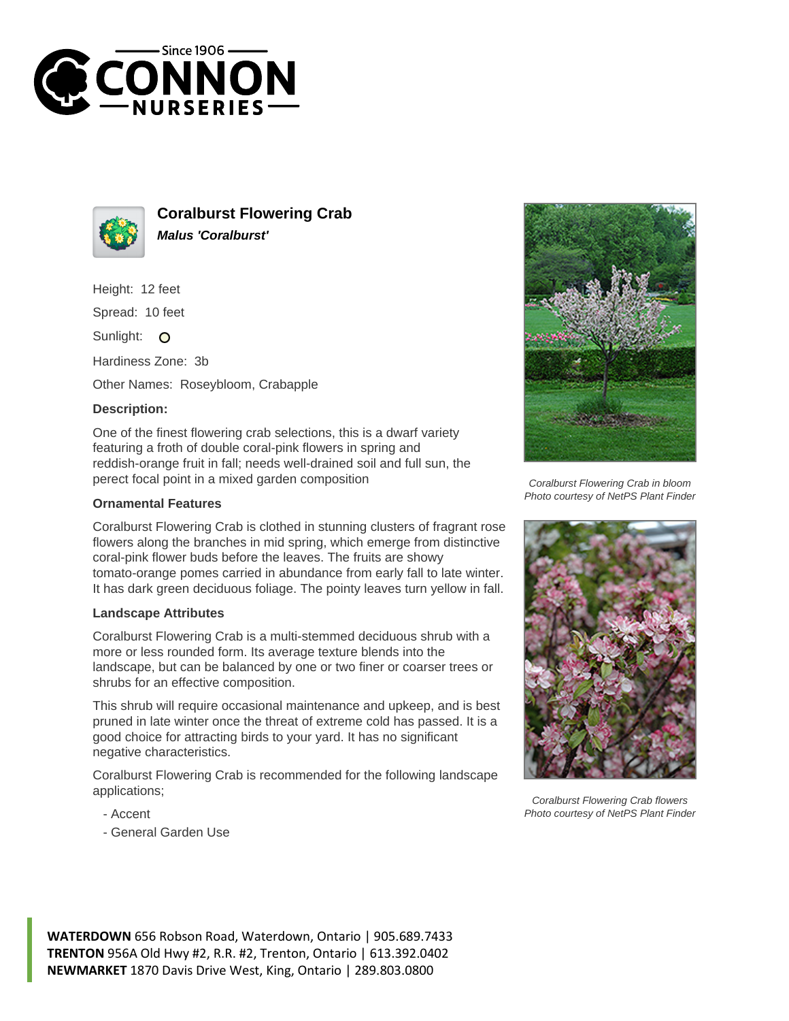



**Coralburst Flowering Crab Malus 'Coralburst'**

Height: 12 feet

Spread: 10 feet

Sunlight: O

Hardiness Zone: 3b

Other Names: Roseybloom, Crabapple

## **Description:**

One of the finest flowering crab selections, this is a dwarf variety featuring a froth of double coral-pink flowers in spring and reddish-orange fruit in fall; needs well-drained soil and full sun, the perect focal point in a mixed garden composition

## **Ornamental Features**

Coralburst Flowering Crab is clothed in stunning clusters of fragrant rose flowers along the branches in mid spring, which emerge from distinctive coral-pink flower buds before the leaves. The fruits are showy tomato-orange pomes carried in abundance from early fall to late winter. It has dark green deciduous foliage. The pointy leaves turn yellow in fall.

## **Landscape Attributes**

Coralburst Flowering Crab is a multi-stemmed deciduous shrub with a more or less rounded form. Its average texture blends into the landscape, but can be balanced by one or two finer or coarser trees or shrubs for an effective composition.

This shrub will require occasional maintenance and upkeep, and is best pruned in late winter once the threat of extreme cold has passed. It is a good choice for attracting birds to your yard. It has no significant negative characteristics.

Coralburst Flowering Crab is recommended for the following landscape applications;

- Accent
- General Garden Use



Coralburst Flowering Crab in bloom Photo courtesy of NetPS Plant Finder



Coralburst Flowering Crab flowers Photo courtesy of NetPS Plant Finder

**WATERDOWN** 656 Robson Road, Waterdown, Ontario | 905.689.7433 **TRENTON** 956A Old Hwy #2, R.R. #2, Trenton, Ontario | 613.392.0402 **NEWMARKET** 1870 Davis Drive West, King, Ontario | 289.803.0800